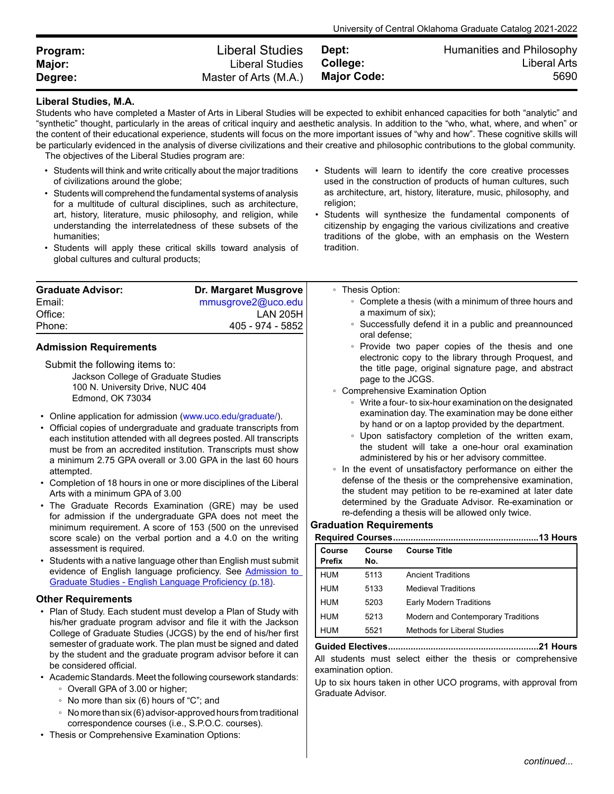| Program: | Liberal Studies       | Dept:              | Humanities and Philosophy |
|----------|-----------------------|--------------------|---------------------------|
| Major:   | Liberal Studies       | College:           | Liberal Arts              |
| Degree:  | Master of Arts (M.A.) | <b>Major Code:</b> | 5690                      |

## **Liberal Studies, M.A.**

Students who have completed a Master of Arts in Liberal Studies will be expected to exhibit enhanced capacities for both "analytic" and "synthetic" thought, particularly in the areas of critical inquiry and aesthetic analysis. In addition to the "who, what, where, and when" or the content of their educational experience, students will focus on the more important issues of "why and how". These cognitive skills will be particularly evidenced in the analysis of diverse civilizations and their creative and philosophic contributions to the global community.

The objectives of the Liberal Studies program are:

- Students will think and write critically about the major traditions of civilizations around the globe;
- Students will comprehend the fundamental systems of analysis for a multitude of cultural disciplines, such as architecture, art, history, literature, music philosophy, and religion, while understanding the interrelatedness of these subsets of the humanities;
- Students will apply these critical skills toward analysis of global cultures and cultural products;
- Students will learn to identify the core creative processes used in the construction of products of human cultures, such as architecture, art, history, literature, music, philosophy, and religion;

University of Central Oklahoma Graduate Catalog 2021-2022

• Students will synthesize the fundamental components of citizenship by engaging the various civilizations and creative traditions of the globe, with an emphasis on the Western tradition.

Up to six hours taken in other UCO programs, with approval from

| <b>Graduate Advisor:</b><br>Email:<br>Office:<br>Phone:                                                                                                                                                                                                                                                                                                                                                                                                                                                                                                                                                                                                                                                                                                                                                         | Dr. Margaret Musgrove<br>mmusgrove2@uco.edu<br><b>LAN 205H</b><br>405 - 974 - 5852                                            |                                                                                                                                                                                                                                                                                                                                                                                                                                                                                                                                                                                                                                                                                                                                                                                                                                                                                                                            | • Thesis Option:<br>a maximum of six); | • Complete a thesis (with a minimum of three hours and<br>• Successfully defend it in a public and preannounced |  |
|-----------------------------------------------------------------------------------------------------------------------------------------------------------------------------------------------------------------------------------------------------------------------------------------------------------------------------------------------------------------------------------------------------------------------------------------------------------------------------------------------------------------------------------------------------------------------------------------------------------------------------------------------------------------------------------------------------------------------------------------------------------------------------------------------------------------|-------------------------------------------------------------------------------------------------------------------------------|----------------------------------------------------------------------------------------------------------------------------------------------------------------------------------------------------------------------------------------------------------------------------------------------------------------------------------------------------------------------------------------------------------------------------------------------------------------------------------------------------------------------------------------------------------------------------------------------------------------------------------------------------------------------------------------------------------------------------------------------------------------------------------------------------------------------------------------------------------------------------------------------------------------------------|----------------------------------------|-----------------------------------------------------------------------------------------------------------------|--|
| <b>Admission Requirements</b><br>Submit the following items to:<br>Jackson College of Graduate Studies<br>100 N. University Drive, NUC 404<br>Edmond, OK 73034<br>• Online application for admission (www.uco.edu/graduate/).<br>• Official copies of undergraduate and graduate transcripts from<br>each institution attended with all degrees posted. All transcripts<br>must be from an accredited institution. Transcripts must show<br>a minimum 2.75 GPA overall or 3.00 GPA in the last 60 hours<br>attempted.<br>• Completion of 18 hours in one or more disciplines of the Liberal<br>Arts with a minimum GPA of 3.00<br>• The Graduate Records Examination (GRE) may be used<br>for admission if the undergraduate GPA does not meet the<br>minimum requirement. A score of 153 (500 on the unrevised |                                                                                                                               | oral defense:<br>• Provide two paper copies of the thesis and one<br>electronic copy to the library through Proquest, and<br>the title page, original signature page, and abstract<br>page to the JCGS.<br>• Comprehensive Examination Option<br>• Write a four- to six-hour examination on the designated<br>examination day. The examination may be done either<br>by hand or on a laptop provided by the department.<br>• Upon satisfactory completion of the written exam,<br>the student will take a one-hour oral examination<br>administered by his or her advisory committee.<br>• In the event of unsatisfactory performance on either the<br>defense of the thesis or the comprehensive examination,<br>the student may petition to be re-examined at later date<br>determined by the Graduate Advisor. Re-examination or<br>re-defending a thesis will be allowed only twice.<br><b>Graduation Requirements</b> |                                        |                                                                                                                 |  |
|                                                                                                                                                                                                                                                                                                                                                                                                                                                                                                                                                                                                                                                                                                                                                                                                                 |                                                                                                                               |                                                                                                                                                                                                                                                                                                                                                                                                                                                                                                                                                                                                                                                                                                                                                                                                                                                                                                                            |                                        |                                                                                                                 |  |
|                                                                                                                                                                                                                                                                                                                                                                                                                                                                                                                                                                                                                                                                                                                                                                                                                 | evidence of English language proficiency. See Admission to<br>Graduate Studies - English Language Proficiency (p.18).         | <b>HUM</b><br><b>HUM</b>                                                                                                                                                                                                                                                                                                                                                                                                                                                                                                                                                                                                                                                                                                                                                                                                                                                                                                   | 5113<br>5133                           | <b>Ancient Traditions</b><br><b>Medieval Traditions</b>                                                         |  |
| <b>Other Requirements</b><br>• Plan of Study. Each student must develop a Plan of Study with<br>his/her graduate program advisor and file it with the Jackson<br>College of Graduate Studies (JCGS) by the end of his/her first                                                                                                                                                                                                                                                                                                                                                                                                                                                                                                                                                                                 |                                                                                                                               | <b>HUM</b><br><b>HUM</b><br><b>HUM</b>                                                                                                                                                                                                                                                                                                                                                                                                                                                                                                                                                                                                                                                                                                                                                                                                                                                                                     | 5203<br>5213<br>5521                   | Early Modern Traditions<br>Modern and Contemporary Traditions<br><b>Methods for Liberal Studies</b>             |  |
| be considered official.                                                                                                                                                                                                                                                                                                                                                                                                                                                                                                                                                                                                                                                                                                                                                                                         | semester of graduate work. The plan must be signed and dated<br>by the student and the graduate program advisor before it can |                                                                                                                                                                                                                                                                                                                                                                                                                                                                                                                                                                                                                                                                                                                                                                                                                                                                                                                            | examination option.                    | All students must select either the thesis or comprehensive                                                     |  |

Graduate Advisor.

- Academic Standards. Meet the following coursework standards:
	- Overall GPA of 3.00 or higher;
	- No more than six (6) hours of "C"; and
	- Nomorethansix (6)advisor-approvedhours fromtraditional correspondence courses (i.e., S.P.O.C. courses).
- Thesis or Comprehensive Examination Options: